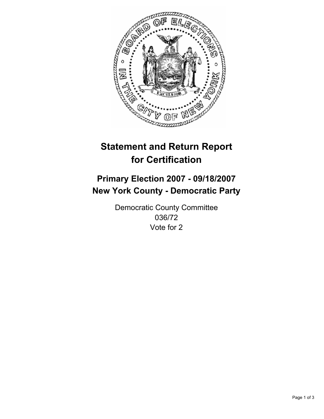

# **Statement and Return Report for Certification**

## **Primary Election 2007 - 09/18/2007 New York County - Democratic Party**

Democratic County Committee 036/72 Vote for 2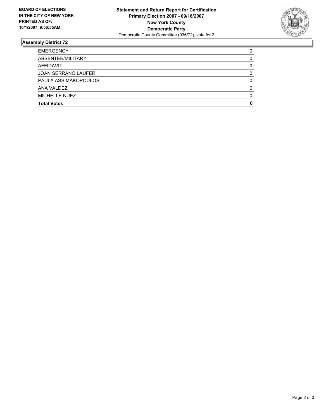

#### **Assembly District 72**

| <b>EMERGENCY</b>           |  |
|----------------------------|--|
| ABSENTEE/MILITARY          |  |
| AFFIDAVIT                  |  |
| <b>JOAN SERRANO LAUFER</b> |  |
| PAULA ASSIMAKOPOULOS       |  |
| ANA VALDEZ                 |  |
| MICHELLE NUEZ              |  |
| <b>Total Votes</b>         |  |